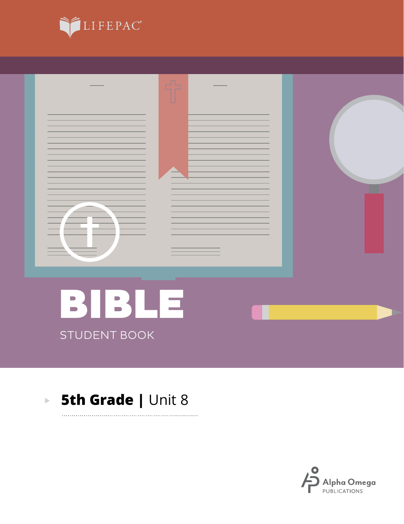



. . . . . . . . .

#### **5th Grade | Unit 8**  $\mathbf{E}^{(1)}$

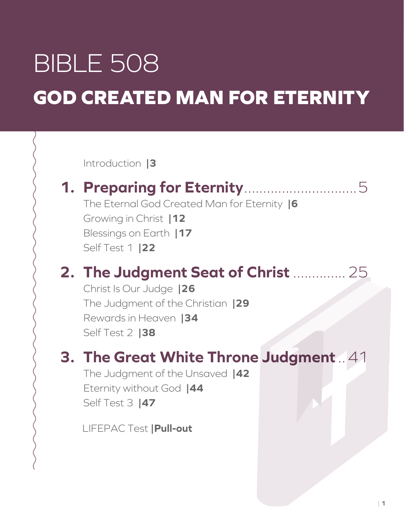# BIBLE 508 **GOD CREATED MAN FOR ETERNITY**

Introduction **|3**

### **1. Preparing for Eternity**..............................5

The Eternal God Created Man for Eternity **|6** Growing in Christ **|12** Blessings on Earth **|17** Self Test 1 **|22**

### **2. The Judgment Seat of Christ** ..............25

Christ Is Our Judge **|26** The Judgment of the Christian **|29** Rewards in Heaven **|34** Self Test 2 **|38**

### **3. The Great White Throne Judgment**..41

The Judgment of the Unsaved **|42** Eternity without God **|44** Self Test 3 **|47**

LIFEPAC Test **|Pull-out**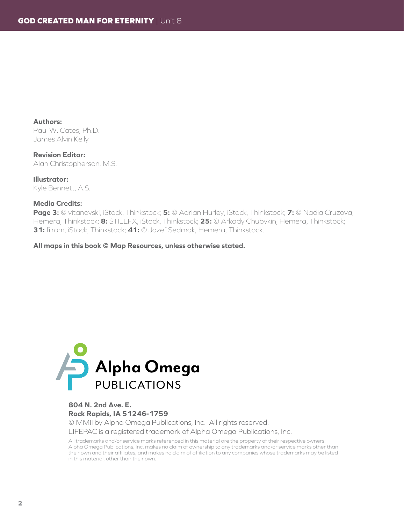**Authors:** Paul W. Cates, Ph.D. James Alvin Kelly

**Revision Editor:** Alan Christopherson, M.S.

**Illustrator:** Kyle Bennett, A.S.

#### **Media Credits:**

**Page 3:** © vitanovski, iStock, Thinkstock; **5:** © Adrian Hurley, iStock, Thinkstock; **7:** © Nadia Cruzova, Hemera, Thinkstock; **8:** STILLFX, iStock, Thinkstock; **25:** © Arkady Chubykin, Hemera, Thinkstock; **31:** filrom, iStock, Thinkstock; **41:** © Jozef Sedmak, Hemera, Thinkstock.

**All maps in this book © Map Resources, unless otherwise stated.**



#### **804 N. 2nd Ave. E. Rock Rapids, IA 51246-1759**

© MMII by Alpha Omega Publications, Inc. All rights reserved. LIFEPAC is a registered trademark of Alpha Omega Publications, Inc.

All trademarks and/or service marks referenced in this material are the property of their respective owners. Alpha Omega Publications, Inc. makes no claim of ownership to any trademarks and/or service marks other than their own and their affiliates, and makes no claim of affiliation to any companies whose trademarks may be listed in this material, other than their own.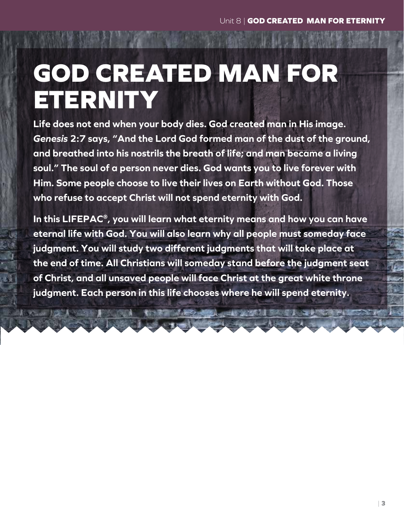## **GOD CREATED MAN FOR ETERNITY**

**Life does not end when your body dies. God created man in His image.**  *Genesis* **2:7 says, "And the Lord God formed man of the dust of the ground, and breathed into his nostrils the breath of life; and man became a living soul." The soul of a person never dies. God wants you to live forever with Him. Some people choose to live their lives on Earth without God. Those who refuse to accept Christ will not spend eternity with God.**

**In this LIFEPAC®, you will learn what eternity means and how you can have eternal life with God. You will also learn why all people must someday face judgment. You will study two different judgments that will take place at the end of time. All Christians will someday stand before the judgment seat of Christ, and all unsaved people will face Christ at the great white throne judgment. Each person in this life chooses where he will spend eternity.**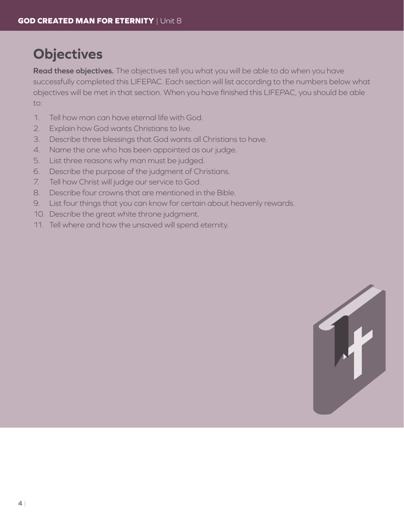### **Objectives**

**Read these objectives.** The objectives tell you what you will be able to do when you have successfully completed this LIFEPAC. Each section will list according to the numbers below what objectives will be met in that section. When you have finished this LIFEPAC, you should be able to:

- 1. Tell how man can have eternal life with God.
- 2. Explain how God wants Christians to live.
- 3. Describe three blessings that God wants all Christians to have.
- 4. Name the one who has been appointed as our judge.
- 5. List three reasons why man must be judged.
- 6. Describe the purpose of the judgment of Christians.
- 7. Tell how Christ will judge our service to God.
- 8. Describe four crowns that are mentioned in the Bible.
- 9. List four things that you can know for certain about heavenly rewards.
- 10. Describe the great white throne judgment.
- 11. Tell where and how the unsaved will spend eternity.

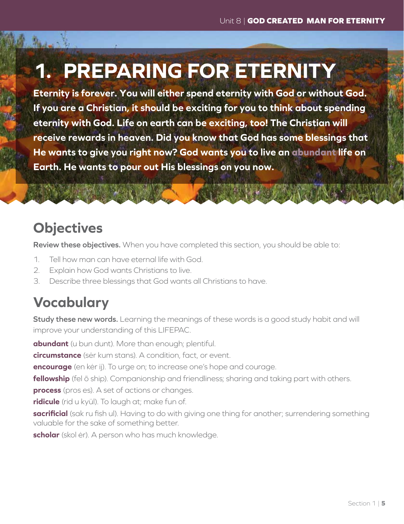## **1. PREPARING FOR ETERNITY**

**Eternity is forever. You will either spend eternity with God or without God. If you are a Christian, it should be exciting for you to think about spending eternity with God. Life on earth can be exciting, too! The Christian will receive rewards in heaven. Did you know that God has some blessings that He wants to give you right now? God wants you to live an abundant life on Earth. He wants to pour out His blessings on you now.**

### **Objectives**

**Review these objectives.** When you have completed this section, you should be able to:

- 1. Tell how man can have eternal life with God.
- 2. Explain how God wants Christians to live.
- 3. Describe three blessings that God wants all Christians to have.

### **Vocabulary**

**Study these new words.** Learning the meanings of these words is a good study habit and will improve your understanding of this LIFEPAC.

**abundant** (u bun dunt). More than enough; plentiful.

**circumstance** (sėr kum stans). A condition, fact, or event.

**encourage** (en kėr ij). To urge on; to increase one's hope and courage.

**fellowship** (fel ō ship). Companionship and friendliness; sharing and taking part with others.

**process** (pros es). A set of actions or changes.

**ridicule** (rid u kyül). To laugh at; make fun of.

**sacrificial** (sak ru fish ul). Having to do with giving one thing for another; surrendering something valuable for the sake of something better.

**scholar** (skol ėr). A person who has much knowledge.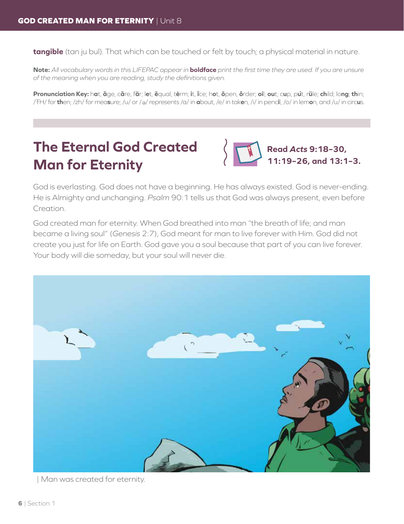**tangible** (tan ju bul). That which can be touched or felt by touch; a physical material in nature.

**Note:** *All vocabulary words in this LIFEPAC appear in* **boldface** *print the first time they are used. If you are unsure of the meaning when you are reading, study the definitions given.*

Pronunciation Key: hat, āge, cãre, fär; let, ēqual, tėrm; it, īce; hot, ōpen, ôrder; oil; out; cup, put, rüle; child; long; thin; /ŦH/ for **th**en; /zh/ for mea**s**ure; /u/ or / <sup>e</sup> / represents /a/ in **a**bout, /e/ in tak**e**n, /i/ in penc**i**l, /o/ in lem**o**n, and /u/ in circ**u**s.

### **The Eternal God Created Man for Eternity**



God is everlasting. God does not have a beginning. He has always existed. God is never-ending. He is Almighty and unchanging. *Psalm* 90:1 tells us that God was always present, even before Creation.

God created man for eternity. When God breathed into man "the breath of life; and man became a living soul" (*Genesis* 2:7), God meant for man to live forever with Him. God did not create you just for life on Earth. God gave you a soul because that part of you can live forever. Your body will die someday, but your soul will never die.



| Man was created for eternity.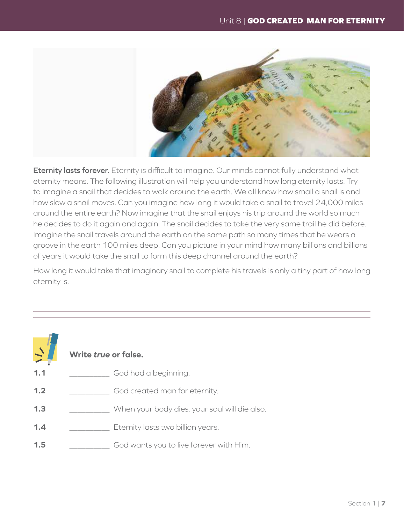

Eternity lasts forever. Eternity is difficult to imagine. Our minds cannot fully understand what eternity means. The following illustration will help you understand how long eternity lasts. Try to imagine a snail that decides to walk around the earth. We all know how small a snail is and how slow a snail moves. Can you imagine how long it would take a snail to travel 24,000 miles around the entire earth? Now imagine that the snail enjoys his trip around the world so much he decides to do it again and again. The snail decides to take the very same trail he did before. Imagine the snail travels around the earth on the same path so many times that he wears a groove in the earth 100 miles deep. Can you picture in your mind how many billions and billions of years it would take the snail to form this deep channel around the earth?

How long it would take that imaginary snail to complete his travels is only a tiny part of how long eternity is.

#### Write true or false.

- $1.1$ God had a beginning.
- $1.2$ God created man for eternity.
- $1.3$ When your body dies, your soul will die also.
- $1.4$ Eternity lasts two billion years.
- $1.5$ God wants you to live forever with Him.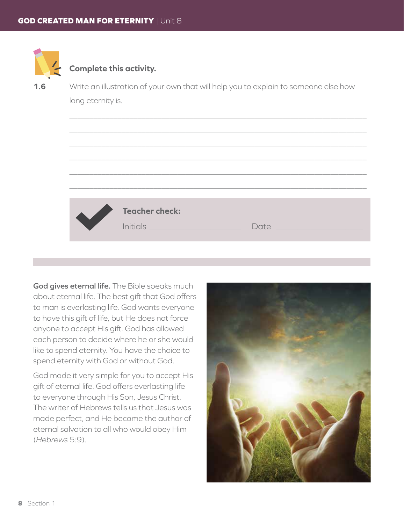

 $\overline{\phantom{a}}$ 

 $\overline{\phantom{a}}$ 

 $\overline{\phantom{a}}$ 

 $\overline{\phantom{a}}$ 

#### **Complete this activity.**

**1.6** Write an illustration of your own that will help you to explain to someone else how long eternity is.

| <b>Teacher check:</b><br>Initials <b>All Accounts Initials</b> | Date |
|----------------------------------------------------------------|------|

**God gives eternal life.** The Bible speaks much about eternal life. The best gift that God offers to man is everlasting life. God wants everyone to have this gift of life, but He does not force anyone to accept His gift. God has allowed each person to decide where he or she would like to spend eternity. You have the choice to spend eternity with God or without God.

God made it very simple for you to accept His gift of eternal life. God offers everlasting life to everyone through His Son, Jesus Christ. The writer of Hebrews tells us that Jesus was made perfect, and He became the author of eternal salvation to all who would obey Him (*Hebrews* 5:9).

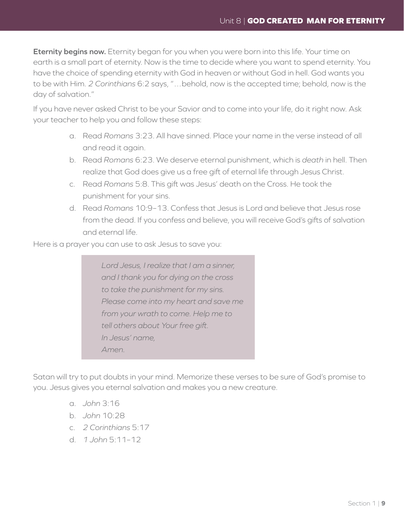**Eternity begins now.** Eternity began for you when you were born into this life. Your time on earth is a small part of eternity. Now is the time to decide where you want to spend eternity. You have the choice of spending eternity with God in heaven or without God in hell. God wants you to be with Him. *2 Corinthians* 6:2 says, "…behold, now is the accepted time; behold, now is the day of salvation."

If you have never asked Christ to be your Savior and to come into your life, do it right now. Ask your teacher to help you and follow these steps:

- a. Read *Romans* 3:23. All have sinned. Place your name in the verse instead of all and read it again.
- b. Read *Romans* 6:23. We deserve eternal punishment, which is *death* in hell. Then realize that God does give us a free gift of eternal life through Jesus Christ.
- c. Read *Romans* 5:8. This gift was Jesus' death on the Cross. He took the punishment for your sins.
- d. Read *Romans* 10:9–13. Confess that Jesus is Lord and believe that Jesus rose from the dead. If you confess and believe, you will receive God's gifts of salvation and eternal life.

Here is a prayer you can use to ask Jesus to save you:

*Lord Jesus, I realize that I am a sinner, and I thank you for dying on the cross to take the punishment for my sins. Please come into my heart and save me from your wrath to come. Help me to tell others about Your free gift. In Jesus' name, Amen.*

Satan will try to put doubts in your mind. Memorize these verses to be sure of God's promise to you. Jesus gives you eternal salvation and makes you a new creature.

- a. *John* 3:16
- b. *John* 10:28
- c. *2 Corinthians* 5:17
- d. *1 John* 5:11–12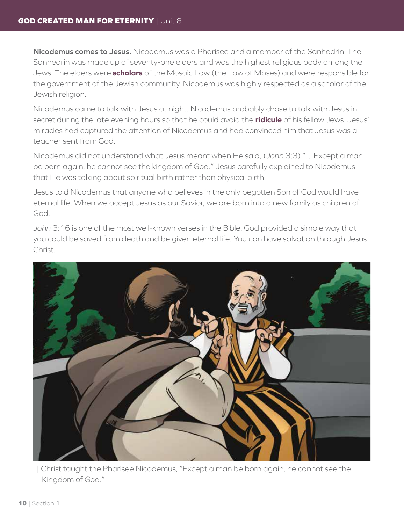**Nicodemus comes to Jesus.** Nicodemus was a Pharisee and a member of the Sanhedrin. The Sanhedrin was made up of seventy-one elders and was the highest religious body among the Jews. The elders were **scholars** of the Mosaic Law (the Law of Moses) and were responsible for the government of the Jewish community. Nicodemus was highly respected as a scholar of the Jewish religion.

Nicodemus came to talk with Jesus at night. Nicodemus probably chose to talk with Jesus in secret during the late evening hours so that he could avoid the **ridicule** of his fellow Jews. Jesus' miracles had captured the attention of Nicodemus and had convinced him that Jesus was a teacher sent from God.

Nicodemus did not understand what Jesus meant when He said, (*John* 3:3) "…Except a man be born again, he cannot see the kingdom of God." Jesus carefully explained to Nicodemus that He was talking about spiritual birth rather than physical birth.

Jesus told Nicodemus that anyone who believes in the only begotten Son of God would have eternal life. When we accept Jesus as our Savior, we are born into a new family as children of God.

*John* 3:16 is one of the most well-known verses in the Bible. God provided a simple way that you could be saved from death and be given eternal life. You can have salvation through Jesus Christ.



| Christ taught the Pharisee Nicodemus, "Except a man be born again, he cannot see the Kingdom of God."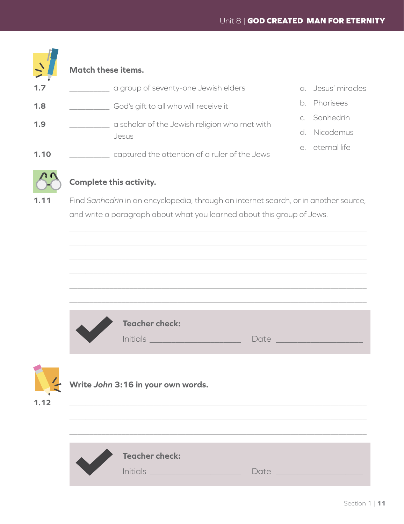#### **Match these items. 1.7** ���������� a group of seventy-one Jewish elders **1.8**  $\qquad \qquad \qquad$  God's gift to all who will receive it **1.9**  $\qquad \qquad$   $\qquad$   $\qquad \qquad$  **a** scholar of the Jewish religion who met with Jesus **1.10**  $\qquad \qquad$  captured the attention of a ruler of the Jews a. Jesus' miracles b. Pharisees c. Sanhedrin d. Nicodemus e. eternal life



 $\overline{\phantom{a}}$ 

#### **Complete this activity.**

1.11 Find Sanhedrin in an encyclopedia, through an internet search, or in another source, and write a paragraph about what you learned about this group of Jews.

|      | <b>Teacher check:</b>                                                                              |                                                                                                                                                                                                                                |
|------|----------------------------------------------------------------------------------------------------|--------------------------------------------------------------------------------------------------------------------------------------------------------------------------------------------------------------------------------|
| 1.12 | Write John 3:16 in your own words.<br><u> 1989 - Johann Barbara, martxa eta idazlea (h. 1989).</u> |                                                                                                                                                                                                                                |
|      | <b>Teacher check:</b><br>Initials <b>All Contracts</b>                                             | Date has a series of the series of the series of the series of the series of the series of the series of the series of the series of the series of the series of the series of the series of the series of the series of the s |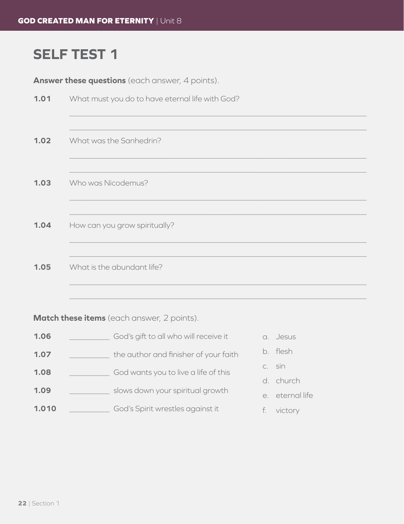### **SELF TEST 1**

Answer these questions (each answer, 4 points).

| 1.01 | What must you do to have eternal life with God? |
|------|-------------------------------------------------|
| 1.02 | What was the Sanhedrin?                         |
| 1.03 | Who was Nicodemus?                              |
| 1.04 | How can you grow spiritually?                   |
| 1.05 | What is the abundant life?                      |

Match these items (each answer, 2 points).

- God's gift to all who will receive it 1.06
- the author and finisher of your faith  $1.07$
- God wants you to live a life of this  $1.08$
- $1.09$ slows down your spiritual growth
- God's Spirit wrestles against it 1.010
- a. Jesus
- b. flesh
- c. sin
- d. church
- e. eternal life
- f. victory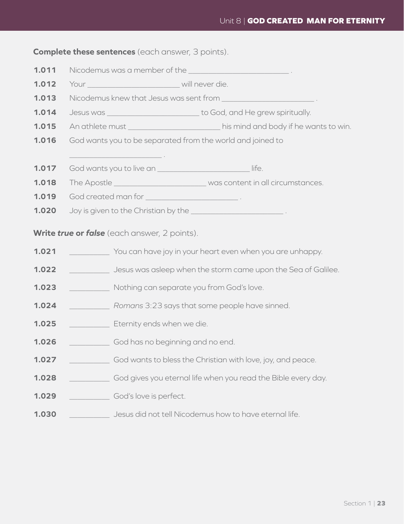**Complete these sentences** (each answer, 3 points).

- 1.011 Nicodemus was a member of the
- $1.012$
- Nicodemus knew that Jesus was sent from  $1.013$
- Jesus was \_\_\_\_\_\_\_\_\_\_\_\_\_\_\_\_\_\_\_\_\_\_\_\_\_\_\_\_\_\_to God, and He grew spiritually.  $1.014$
- An athlete must \_\_\_\_\_\_\_\_\_\_\_\_\_\_\_\_\_\_\_\_\_\_\_\_\_ his mind and body if he wants to win. 1.015
- 1.016 God wants you to be separated from the world and joined to
- $\blacksquare$  $1.017$ God wants you to live an
- The Apostle \_\_\_\_\_\_\_\_\_\_\_\_\_\_\_\_\_\_\_\_\_\_\_\_\_\_\_\_\_was content in all circumstances. 1.018
- 1.019
- $1.020$ Joy is given to the Christian by the \_\_\_\_\_\_\_\_\_\_\_\_\_\_\_\_\_\_\_\_\_\_\_\_\_\_\_\_\_.

#### Write true or false (each answer, 2 points).

- $1.021$ You can have joy in your heart even when you are unhappy.
- Jesus was asleep when the storm came upon the Sea of Galilee.  $1.022$
- $1.023$ Nothing can separate you from God's love.
- $1.024$ Romans 3:23 says that some people have sinned.
- Eternity ends when we die.  $1.025$
- 1.026 God has no beginning and no end.
- $1.027$ God wants to bless the Christian with love, joy, and peace.
- God gives you eternal life when you read the Bible every day. 1.028
- 1.029 God's love is perfect.
- Jesus did not tell Nicodemus how to have eternal life. 1.030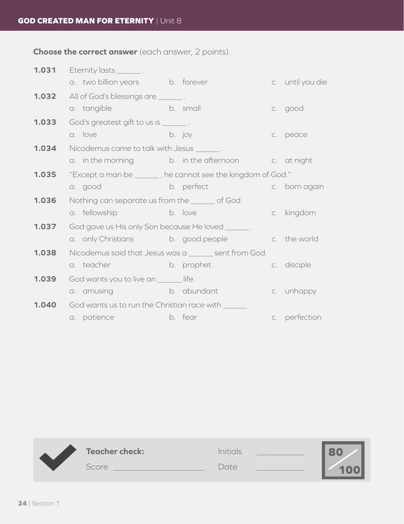**Choose the correct answer** (each answer, 2 points).

| 1.031 | Eternity lasts _________.                             |                                                             |  |                                   |  |
|-------|-------------------------------------------------------|-------------------------------------------------------------|--|-----------------------------------|--|
|       | a. two billion years b. forever                       |                                                             |  | c. until you die                  |  |
| 1.032 | All of God's blessings are ________.                  |                                                             |  |                                   |  |
|       | a. tangible b. small                                  |                                                             |  | c. good                           |  |
| 1.033 | God's greatest gift to us is ________.                |                                                             |  |                                   |  |
|       | a. love                                               | b. joy                                                      |  | c. peace                          |  |
| 1.034 | Nicodemus came to talk with Jesus _______.            |                                                             |  |                                   |  |
|       |                                                       | a. in the morning b. in the afternoon c. at night           |  |                                   |  |
| 1.035 |                                                       | "Except a man be ______, he cannot see the kingdom of God." |  |                                   |  |
|       | a. good and a stream                                  | b. perfect                                                  |  | <b>Example 2016</b> C. born again |  |
| 1.036 | Nothing can separate us from the wave of God.         |                                                             |  |                                   |  |
|       | a. fellowship b. love                                 |                                                             |  | c. kingdom                        |  |
| 1.037 | God gave us His only Son because He loved ________.   |                                                             |  |                                   |  |
|       |                                                       | a. only Christians b. good people                           |  | c. the world                      |  |
| 1.038 | Nicodemus said that Jesus was a ______ sent from God. |                                                             |  |                                   |  |
|       |                                                       | a teacher b b b prophet                                     |  | c. disciple                       |  |
| 1.039 | God wants you to live an _____ life.                  |                                                             |  |                                   |  |
|       |                                                       | a amusing b abundant                                        |  | c. unhappy                        |  |
| 1.040 |                                                       | God wants us to run the Christian race with _______.        |  |                                   |  |
|       | a. patience b. fear                                   |                                                             |  | c. perfection                     |  |

|  | <b>Teacher check:</b> | Initials |  |
|--|-----------------------|----------|--|
|  | <b>Score</b>          | Jate.    |  |